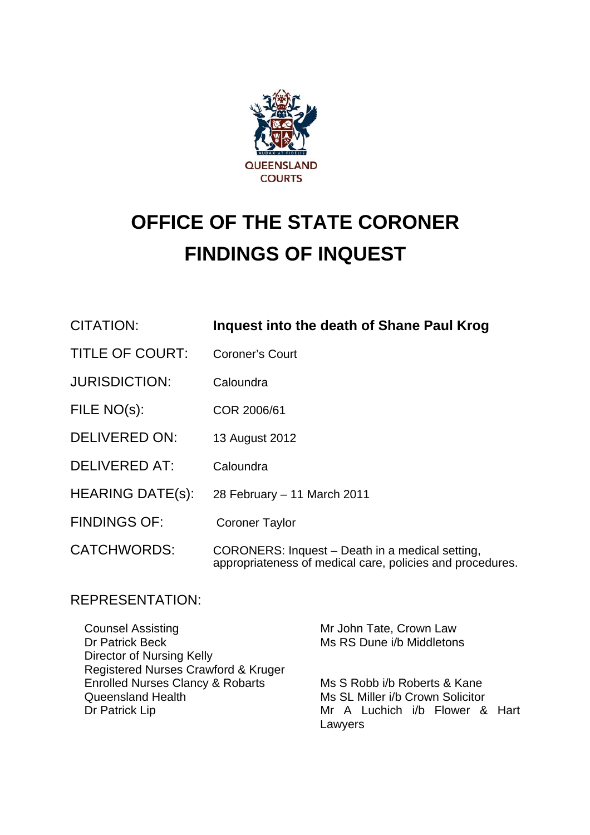

## **OFFICE OF THE STATE CORONER FINDINGS OF INQUEST**

| CITATION:               | Inquest into the death of Shane Paul Krog                                                                    |
|-------------------------|--------------------------------------------------------------------------------------------------------------|
| <b>TITLE OF COURT:</b>  | <b>Coroner's Court</b>                                                                                       |
| <b>JURISDICTION:</b>    | Caloundra                                                                                                    |
| FILE NO(s):             | COR 2006/61                                                                                                  |
| <b>DELIVERED ON:</b>    | 13 August 2012                                                                                               |
| <b>DELIVERED AT:</b>    | Caloundra                                                                                                    |
| <b>HEARING DATE(s):</b> | 28 February - 11 March 2011                                                                                  |
| <b>FINDINGS OF:</b>     | <b>Coroner Taylor</b>                                                                                        |
| <b>CATCHWORDS:</b>      | CORONERS: Inquest - Death in a medical setting,<br>appropriateness of medical care, policies and procedures. |

## REPRESENTATION:

| <b>Counsel Assisting</b>                    | Mr John Tate, Crown Law          |
|---------------------------------------------|----------------------------------|
| Dr Patrick Beck                             | Ms RS Dune i/b Middletons        |
| Director of Nursing Kelly                   |                                  |
| Registered Nurses Crawford & Kruger         |                                  |
| <b>Enrolled Nurses Clancy &amp; Robarts</b> | Ms S Robb i/b Roberts & Kane     |
| Queensland Health                           | Ms SL Miller i/b Crown Solicitor |
| Dr Patrick Lip                              | Mr A Luchich i/b Flower & Hart   |
|                                             | Lawyers                          |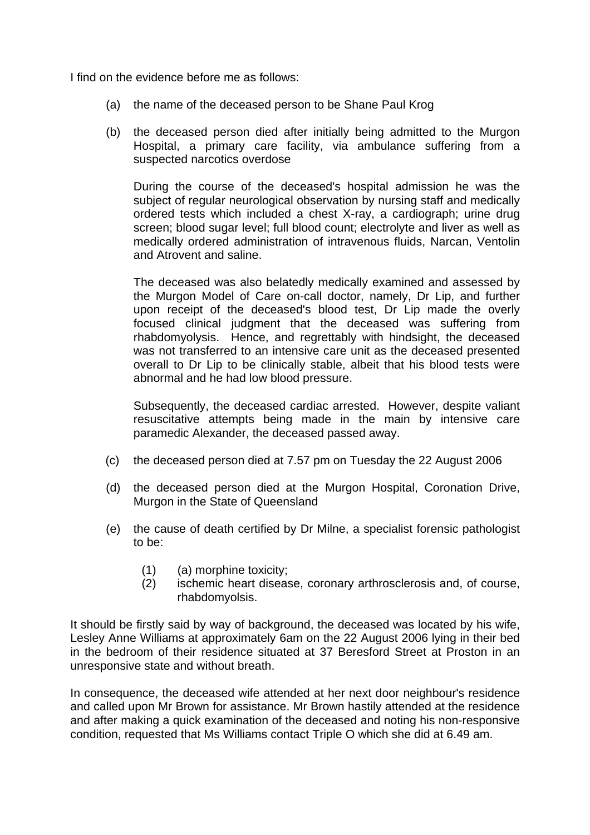I find on the evidence before me as follows:

- (a) the name of the deceased person to be Shane Paul Krog
- (b) the deceased person died after initially being admitted to the Murgon Hospital, a primary care facility, via ambulance suffering from a suspected narcotics overdose

During the course of the deceased's hospital admission he was the subject of regular neurological observation by nursing staff and medically ordered tests which included a chest X-ray, a cardiograph; urine drug screen; blood sugar level; full blood count; electrolyte and liver as well as medically ordered administration of intravenous fluids, Narcan, Ventolin and Atrovent and saline.

The deceased was also belatedly medically examined and assessed by the Murgon Model of Care on-call doctor, namely, Dr Lip, and further upon receipt of the deceased's blood test, Dr Lip made the overly focused clinical judgment that the deceased was suffering from rhabdomyolysis. Hence, and regrettably with hindsight, the deceased was not transferred to an intensive care unit as the deceased presented overall to Dr Lip to be clinically stable, albeit that his blood tests were abnormal and he had low blood pressure.

Subsequently, the deceased cardiac arrested. However, despite valiant resuscitative attempts being made in the main by intensive care paramedic Alexander, the deceased passed away.

- (c) the deceased person died at 7.57 pm on Tuesday the 22 August 2006
- (d) the deceased person died at the Murgon Hospital, Coronation Drive, Murgon in the State of Queensland
- (e) the cause of death certified by Dr Milne, a specialist forensic pathologist to be:
	- (1) (a) morphine toxicity;
	- (2) ischemic heart disease, coronary arthrosclerosis and, of course, rhabdomyolsis.

It should be firstly said by way of background, the deceased was located by his wife, Lesley Anne Williams at approximately 6am on the 22 August 2006 lying in their bed in the bedroom of their residence situated at 37 Beresford Street at Proston in an unresponsive state and without breath.

In consequence, the deceased wife attended at her next door neighbour's residence and called upon Mr Brown for assistance. Mr Brown hastily attended at the residence and after making a quick examination of the deceased and noting his non-responsive condition, requested that Ms Williams contact Triple O which she did at 6.49 am.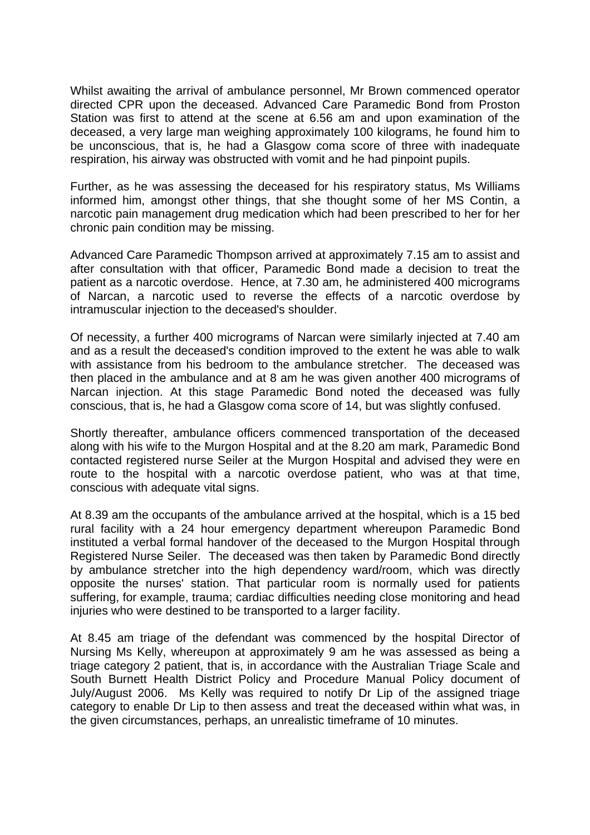Whilst awaiting the arrival of ambulance personnel, Mr Brown commenced operator directed CPR upon the deceased. Advanced Care Paramedic Bond from Proston Station was first to attend at the scene at 6.56 am and upon examination of the deceased, a very large man weighing approximately 100 kilograms, he found him to be unconscious, that is, he had a Glasgow coma score of three with inadequate respiration, his airway was obstructed with vomit and he had pinpoint pupils.

Further, as he was assessing the deceased for his respiratory status, Ms Williams informed him, amongst other things, that she thought some of her MS Contin, a narcotic pain management drug medication which had been prescribed to her for her chronic pain condition may be missing.

Advanced Care Paramedic Thompson arrived at approximately 7.15 am to assist and after consultation with that officer, Paramedic Bond made a decision to treat the patient as a narcotic overdose. Hence, at 7.30 am, he administered 400 micrograms of Narcan, a narcotic used to reverse the effects of a narcotic overdose by intramuscular injection to the deceased's shoulder.

Of necessity, a further 400 micrograms of Narcan were similarly injected at 7.40 am and as a result the deceased's condition improved to the extent he was able to walk with assistance from his bedroom to the ambulance stretcher. The deceased was then placed in the ambulance and at 8 am he was given another 400 micrograms of Narcan injection. At this stage Paramedic Bond noted the deceased was fully conscious, that is, he had a Glasgow coma score of 14, but was slightly confused.

Shortly thereafter, ambulance officers commenced transportation of the deceased along with his wife to the Murgon Hospital and at the 8.20 am mark, Paramedic Bond contacted registered nurse Seiler at the Murgon Hospital and advised they were en route to the hospital with a narcotic overdose patient, who was at that time, conscious with adequate vital signs.

At 8.39 am the occupants of the ambulance arrived at the hospital, which is a 15 bed rural facility with a 24 hour emergency department whereupon Paramedic Bond instituted a verbal formal handover of the deceased to the Murgon Hospital through Registered Nurse Seiler. The deceased was then taken by Paramedic Bond directly by ambulance stretcher into the high dependency ward/room, which was directly opposite the nurses' station. That particular room is normally used for patients suffering, for example, trauma; cardiac difficulties needing close monitoring and head injuries who were destined to be transported to a larger facility.

At 8.45 am triage of the defendant was commenced by the hospital Director of Nursing Ms Kelly, whereupon at approximately 9 am he was assessed as being a triage category 2 patient, that is, in accordance with the Australian Triage Scale and South Burnett Health District Policy and Procedure Manual Policy document of July/August 2006. Ms Kelly was required to notify Dr Lip of the assigned triage category to enable Dr Lip to then assess and treat the deceased within what was, in the given circumstances, perhaps, an unrealistic timeframe of 10 minutes.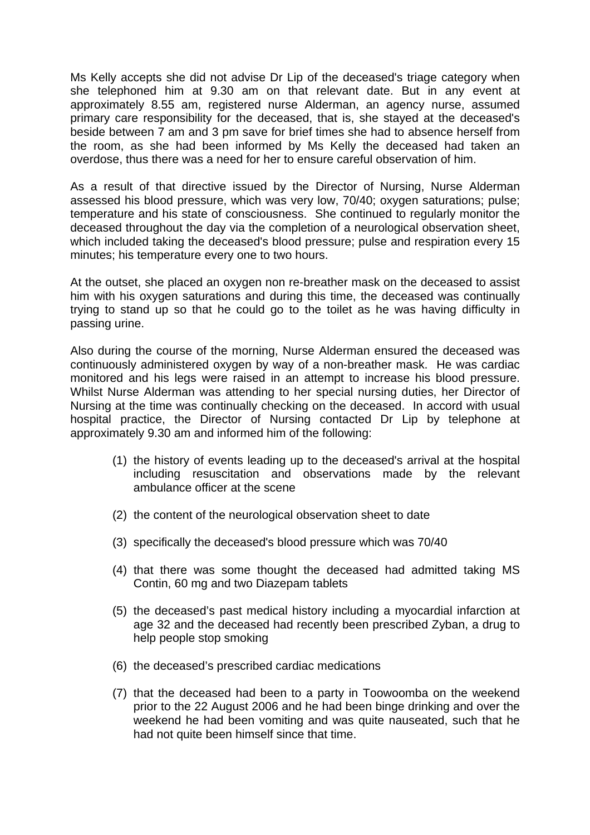Ms Kelly accepts she did not advise Dr Lip of the deceased's triage category when she telephoned him at 9.30 am on that relevant date. But in any event at approximately 8.55 am, registered nurse Alderman, an agency nurse, assumed primary care responsibility for the deceased, that is, she stayed at the deceased's beside between 7 am and 3 pm save for brief times she had to absence herself from the room, as she had been informed by Ms Kelly the deceased had taken an overdose, thus there was a need for her to ensure careful observation of him.

As a result of that directive issued by the Director of Nursing, Nurse Alderman assessed his blood pressure, which was very low, 70/40; oxygen saturations; pulse; temperature and his state of consciousness. She continued to regularly monitor the deceased throughout the day via the completion of a neurological observation sheet, which included taking the deceased's blood pressure; pulse and respiration every 15 minutes; his temperature every one to two hours.

At the outset, she placed an oxygen non re-breather mask on the deceased to assist him with his oxygen saturations and during this time, the deceased was continually trying to stand up so that he could go to the toilet as he was having difficulty in passing urine.

Also during the course of the morning, Nurse Alderman ensured the deceased was continuously administered oxygen by way of a non-breather mask. He was cardiac monitored and his legs were raised in an attempt to increase his blood pressure. Whilst Nurse Alderman was attending to her special nursing duties, her Director of Nursing at the time was continually checking on the deceased. In accord with usual hospital practice, the Director of Nursing contacted Dr Lip by telephone at approximately 9.30 am and informed him of the following:

- (1) the history of events leading up to the deceased's arrival at the hospital including resuscitation and observations made by the relevant ambulance officer at the scene
- (2) the content of the neurological observation sheet to date
- (3) specifically the deceased's blood pressure which was 70/40
- (4) that there was some thought the deceased had admitted taking MS Contin, 60 mg and two Diazepam tablets
- (5) the deceased's past medical history including a myocardial infarction at age 32 and the deceased had recently been prescribed Zyban, a drug to help people stop smoking
- (6) the deceased's prescribed cardiac medications
- (7) that the deceased had been to a party in Toowoomba on the weekend prior to the 22 August 2006 and he had been binge drinking and over the weekend he had been vomiting and was quite nauseated, such that he had not quite been himself since that time.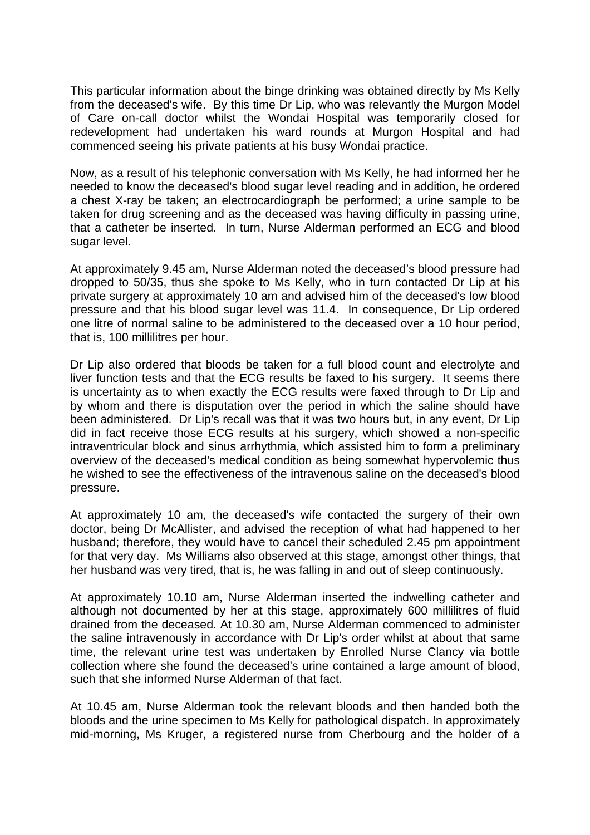This particular information about the binge drinking was obtained directly by Ms Kelly from the deceased's wife. By this time Dr Lip, who was relevantly the Murgon Model of Care on-call doctor whilst the Wondai Hospital was temporarily closed for redevelopment had undertaken his ward rounds at Murgon Hospital and had commenced seeing his private patients at his busy Wondai practice.

Now, as a result of his telephonic conversation with Ms Kelly, he had informed her he needed to know the deceased's blood sugar level reading and in addition, he ordered a chest X-ray be taken; an electrocardiograph be performed; a urine sample to be taken for drug screening and as the deceased was having difficulty in passing urine, that a catheter be inserted. In turn, Nurse Alderman performed an ECG and blood sugar level.

At approximately 9.45 am, Nurse Alderman noted the deceased's blood pressure had dropped to 50/35, thus she spoke to Ms Kelly, who in turn contacted Dr Lip at his private surgery at approximately 10 am and advised him of the deceased's low blood pressure and that his blood sugar level was 11.4. In consequence, Dr Lip ordered one litre of normal saline to be administered to the deceased over a 10 hour period, that is, 100 millilitres per hour.

Dr Lip also ordered that bloods be taken for a full blood count and electrolyte and liver function tests and that the ECG results be faxed to his surgery. It seems there is uncertainty as to when exactly the ECG results were faxed through to Dr Lip and by whom and there is disputation over the period in which the saline should have been administered. Dr Lip's recall was that it was two hours but, in any event, Dr Lip did in fact receive those ECG results at his surgery, which showed a non-specific intraventricular block and sinus arrhythmia, which assisted him to form a preliminary overview of the deceased's medical condition as being somewhat hypervolemic thus he wished to see the effectiveness of the intravenous saline on the deceased's blood pressure.

At approximately 10 am, the deceased's wife contacted the surgery of their own doctor, being Dr McAllister, and advised the reception of what had happened to her husband; therefore, they would have to cancel their scheduled 2.45 pm appointment for that very day. Ms Williams also observed at this stage, amongst other things, that her husband was very tired, that is, he was falling in and out of sleep continuously.

At approximately 10.10 am, Nurse Alderman inserted the indwelling catheter and although not documented by her at this stage, approximately 600 millilitres of fluid drained from the deceased. At 10.30 am, Nurse Alderman commenced to administer the saline intravenously in accordance with Dr Lip's order whilst at about that same time, the relevant urine test was undertaken by Enrolled Nurse Clancy via bottle collection where she found the deceased's urine contained a large amount of blood, such that she informed Nurse Alderman of that fact.

At 10.45 am, Nurse Alderman took the relevant bloods and then handed both the bloods and the urine specimen to Ms Kelly for pathological dispatch. In approximately mid-morning, Ms Kruger, a registered nurse from Cherbourg and the holder of a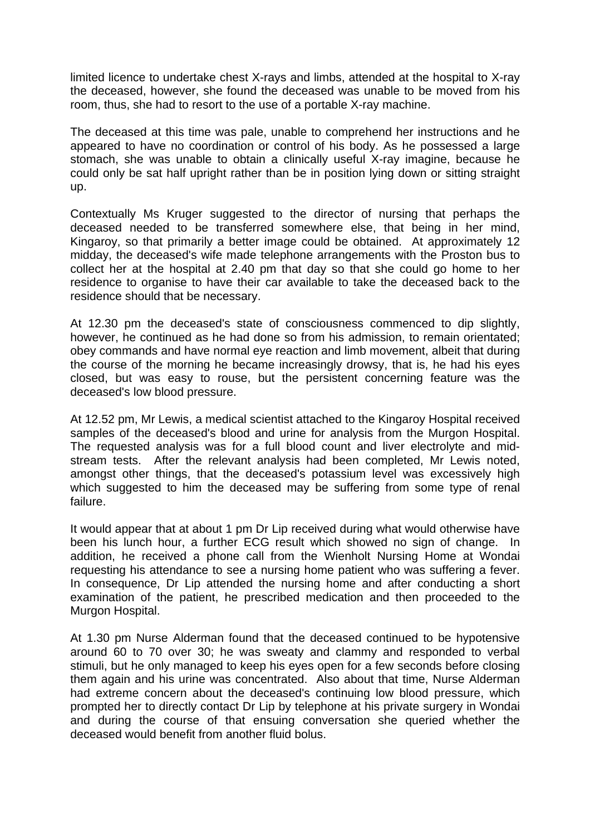limited licence to undertake chest X-rays and limbs, attended at the hospital to X-ray the deceased, however, she found the deceased was unable to be moved from his room, thus, she had to resort to the use of a portable X-ray machine.

The deceased at this time was pale, unable to comprehend her instructions and he appeared to have no coordination or control of his body. As he possessed a large stomach, she was unable to obtain a clinically useful X-ray imagine, because he could only be sat half upright rather than be in position lying down or sitting straight up.

Contextually Ms Kruger suggested to the director of nursing that perhaps the deceased needed to be transferred somewhere else, that being in her mind, Kingaroy, so that primarily a better image could be obtained. At approximately 12 midday, the deceased's wife made telephone arrangements with the Proston bus to collect her at the hospital at 2.40 pm that day so that she could go home to her residence to organise to have their car available to take the deceased back to the residence should that be necessary.

At 12.30 pm the deceased's state of consciousness commenced to dip slightly, however, he continued as he had done so from his admission, to remain orientated; obey commands and have normal eye reaction and limb movement, albeit that during the course of the morning he became increasingly drowsy, that is, he had his eyes closed, but was easy to rouse, but the persistent concerning feature was the deceased's low blood pressure.

At 12.52 pm, Mr Lewis, a medical scientist attached to the Kingaroy Hospital received samples of the deceased's blood and urine for analysis from the Murgon Hospital. The requested analysis was for a full blood count and liver electrolyte and midstream tests. After the relevant analysis had been completed, Mr Lewis noted, amongst other things, that the deceased's potassium level was excessively high which suggested to him the deceased may be suffering from some type of renal failure.

It would appear that at about 1 pm Dr Lip received during what would otherwise have been his lunch hour, a further ECG result which showed no sign of change. In addition, he received a phone call from the Wienholt Nursing Home at Wondai requesting his attendance to see a nursing home patient who was suffering a fever. In consequence, Dr Lip attended the nursing home and after conducting a short examination of the patient, he prescribed medication and then proceeded to the Murgon Hospital.

At 1.30 pm Nurse Alderman found that the deceased continued to be hypotensive around 60 to 70 over 30; he was sweaty and clammy and responded to verbal stimuli, but he only managed to keep his eyes open for a few seconds before closing them again and his urine was concentrated. Also about that time, Nurse Alderman had extreme concern about the deceased's continuing low blood pressure, which prompted her to directly contact Dr Lip by telephone at his private surgery in Wondai and during the course of that ensuing conversation she queried whether the deceased would benefit from another fluid bolus.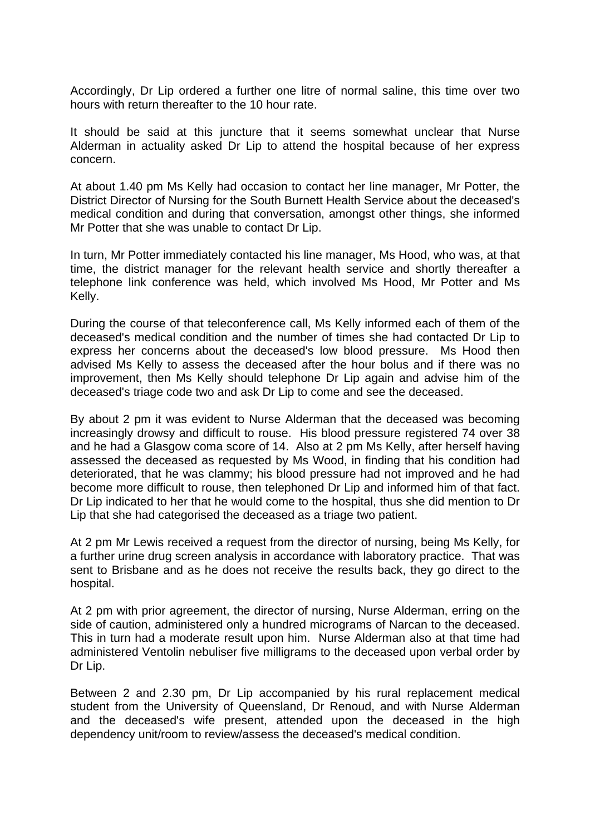Accordingly, Dr Lip ordered a further one litre of normal saline, this time over two hours with return thereafter to the 10 hour rate.

It should be said at this juncture that it seems somewhat unclear that Nurse Alderman in actuality asked Dr Lip to attend the hospital because of her express concern.

At about 1.40 pm Ms Kelly had occasion to contact her line manager, Mr Potter, the District Director of Nursing for the South Burnett Health Service about the deceased's medical condition and during that conversation, amongst other things, she informed Mr Potter that she was unable to contact Dr Lip.

In turn, Mr Potter immediately contacted his line manager, Ms Hood, who was, at that time, the district manager for the relevant health service and shortly thereafter a telephone link conference was held, which involved Ms Hood, Mr Potter and Ms Kelly.

During the course of that teleconference call, Ms Kelly informed each of them of the deceased's medical condition and the number of times she had contacted Dr Lip to express her concerns about the deceased's low blood pressure. Ms Hood then advised Ms Kelly to assess the deceased after the hour bolus and if there was no improvement, then Ms Kelly should telephone Dr Lip again and advise him of the deceased's triage code two and ask Dr Lip to come and see the deceased.

By about 2 pm it was evident to Nurse Alderman that the deceased was becoming increasingly drowsy and difficult to rouse. His blood pressure registered 74 over 38 and he had a Glasgow coma score of 14. Also at 2 pm Ms Kelly, after herself having assessed the deceased as requested by Ms Wood, in finding that his condition had deteriorated, that he was clammy; his blood pressure had not improved and he had become more difficult to rouse, then telephoned Dr Lip and informed him of that fact. Dr Lip indicated to her that he would come to the hospital, thus she did mention to Dr Lip that she had categorised the deceased as a triage two patient.

At 2 pm Mr Lewis received a request from the director of nursing, being Ms Kelly, for a further urine drug screen analysis in accordance with laboratory practice. That was sent to Brisbane and as he does not receive the results back, they go direct to the hospital.

At 2 pm with prior agreement, the director of nursing, Nurse Alderman, erring on the side of caution, administered only a hundred micrograms of Narcan to the deceased. This in turn had a moderate result upon him. Nurse Alderman also at that time had administered Ventolin nebuliser five milligrams to the deceased upon verbal order by Dr Lip.

Between 2 and 2.30 pm, Dr Lip accompanied by his rural replacement medical student from the University of Queensland, Dr Renoud, and with Nurse Alderman and the deceased's wife present, attended upon the deceased in the high dependency unit/room to review/assess the deceased's medical condition.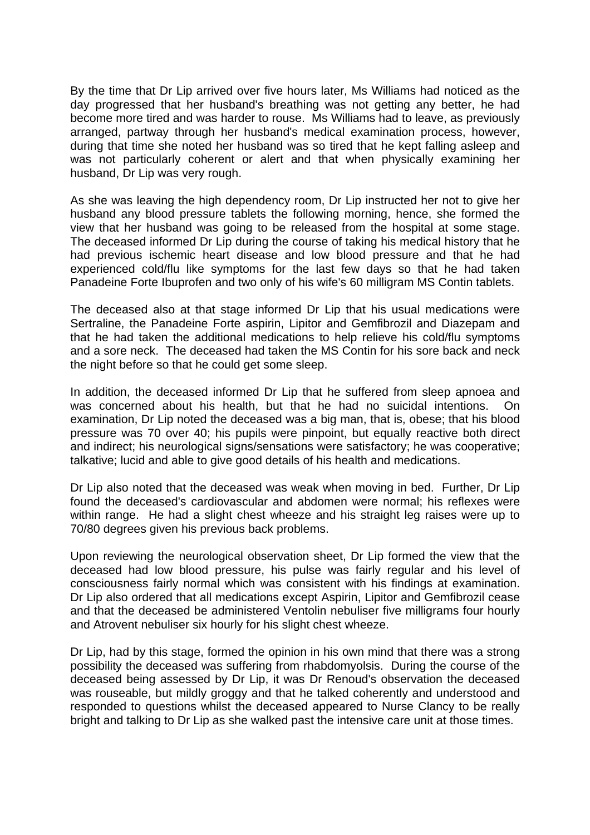By the time that Dr Lip arrived over five hours later, Ms Williams had noticed as the day progressed that her husband's breathing was not getting any better, he had become more tired and was harder to rouse. Ms Williams had to leave, as previously arranged, partway through her husband's medical examination process, however, during that time she noted her husband was so tired that he kept falling asleep and was not particularly coherent or alert and that when physically examining her husband, Dr Lip was very rough.

As she was leaving the high dependency room, Dr Lip instructed her not to give her husband any blood pressure tablets the following morning, hence, she formed the view that her husband was going to be released from the hospital at some stage. The deceased informed Dr Lip during the course of taking his medical history that he had previous ischemic heart disease and low blood pressure and that he had experienced cold/flu like symptoms for the last few days so that he had taken Panadeine Forte Ibuprofen and two only of his wife's 60 milligram MS Contin tablets.

The deceased also at that stage informed Dr Lip that his usual medications were Sertraline, the Panadeine Forte aspirin, Lipitor and Gemfibrozil and Diazepam and that he had taken the additional medications to help relieve his cold/flu symptoms and a sore neck. The deceased had taken the MS Contin for his sore back and neck the night before so that he could get some sleep.

In addition, the deceased informed Dr Lip that he suffered from sleep apnoea and was concerned about his health, but that he had no suicidal intentions. On examination, Dr Lip noted the deceased was a big man, that is, obese; that his blood pressure was 70 over 40; his pupils were pinpoint, but equally reactive both direct and indirect; his neurological signs/sensations were satisfactory; he was cooperative; talkative; lucid and able to give good details of his health and medications.

Dr Lip also noted that the deceased was weak when moving in bed. Further, Dr Lip found the deceased's cardiovascular and abdomen were normal; his reflexes were within range. He had a slight chest wheeze and his straight leg raises were up to 70/80 degrees given his previous back problems.

Upon reviewing the neurological observation sheet, Dr Lip formed the view that the deceased had low blood pressure, his pulse was fairly regular and his level of consciousness fairly normal which was consistent with his findings at examination. Dr Lip also ordered that all medications except Aspirin, Lipitor and Gemfibrozil cease and that the deceased be administered Ventolin nebuliser five milligrams four hourly and Atrovent nebuliser six hourly for his slight chest wheeze.

Dr Lip, had by this stage, formed the opinion in his own mind that there was a strong possibility the deceased was suffering from rhabdomyolsis. During the course of the deceased being assessed by Dr Lip, it was Dr Renoud's observation the deceased was rouseable, but mildly groggy and that he talked coherently and understood and responded to questions whilst the deceased appeared to Nurse Clancy to be really bright and talking to Dr Lip as she walked past the intensive care unit at those times.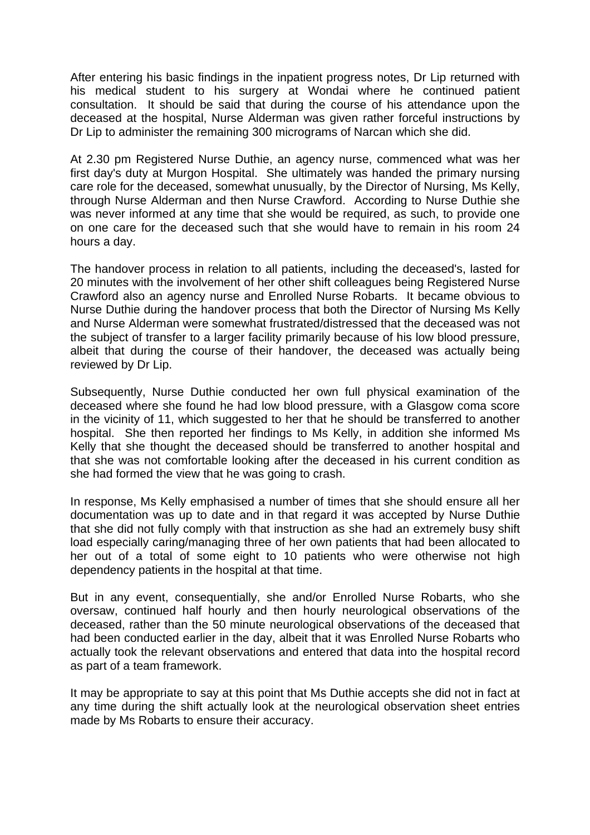After entering his basic findings in the inpatient progress notes, Dr Lip returned with his medical student to his surgery at Wondai where he continued patient consultation. It should be said that during the course of his attendance upon the deceased at the hospital, Nurse Alderman was given rather forceful instructions by Dr Lip to administer the remaining 300 micrograms of Narcan which she did.

At 2.30 pm Registered Nurse Duthie, an agency nurse, commenced what was her first day's duty at Murgon Hospital. She ultimately was handed the primary nursing care role for the deceased, somewhat unusually, by the Director of Nursing, Ms Kelly, through Nurse Alderman and then Nurse Crawford. According to Nurse Duthie she was never informed at any time that she would be required, as such, to provide one on one care for the deceased such that she would have to remain in his room 24 hours a day.

The handover process in relation to all patients, including the deceased's, lasted for 20 minutes with the involvement of her other shift colleagues being Registered Nurse Crawford also an agency nurse and Enrolled Nurse Robarts. It became obvious to Nurse Duthie during the handover process that both the Director of Nursing Ms Kelly and Nurse Alderman were somewhat frustrated/distressed that the deceased was not the subject of transfer to a larger facility primarily because of his low blood pressure, albeit that during the course of their handover, the deceased was actually being reviewed by Dr Lip.

Subsequently, Nurse Duthie conducted her own full physical examination of the deceased where she found he had low blood pressure, with a Glasgow coma score in the vicinity of 11, which suggested to her that he should be transferred to another hospital. She then reported her findings to Ms Kelly, in addition she informed Ms Kelly that she thought the deceased should be transferred to another hospital and that she was not comfortable looking after the deceased in his current condition as she had formed the view that he was going to crash.

In response, Ms Kelly emphasised a number of times that she should ensure all her documentation was up to date and in that regard it was accepted by Nurse Duthie that she did not fully comply with that instruction as she had an extremely busy shift load especially caring/managing three of her own patients that had been allocated to her out of a total of some eight to 10 patients who were otherwise not high dependency patients in the hospital at that time.

But in any event, consequentially, she and/or Enrolled Nurse Robarts, who she oversaw, continued half hourly and then hourly neurological observations of the deceased, rather than the 50 minute neurological observations of the deceased that had been conducted earlier in the day, albeit that it was Enrolled Nurse Robarts who actually took the relevant observations and entered that data into the hospital record as part of a team framework.

It may be appropriate to say at this point that Ms Duthie accepts she did not in fact at any time during the shift actually look at the neurological observation sheet entries made by Ms Robarts to ensure their accuracy.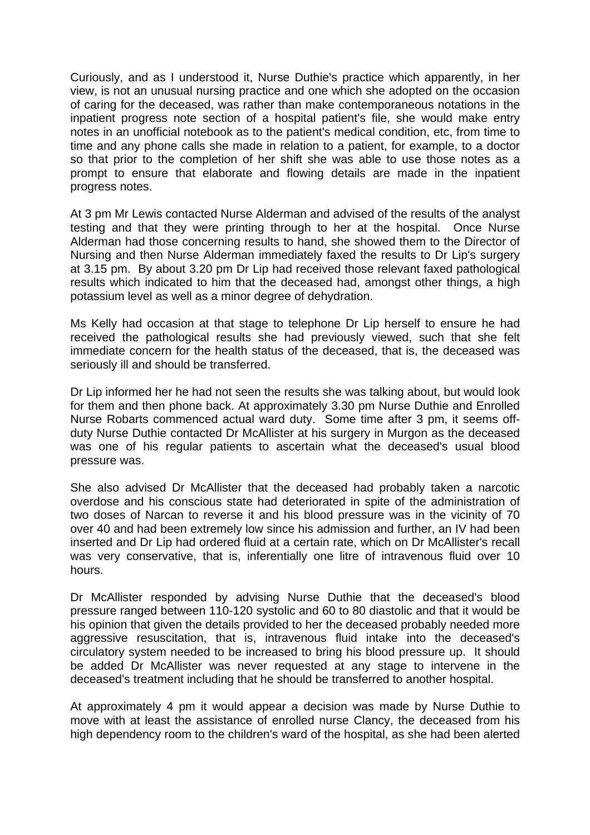Curiously, and as I understood it, Nurse Duthie's practice which apparently, in her view, is not an unusual nursing practice and one which she adopted on the occasion of caring for the deceased, was rather than make contemporaneous notations in the inpatient progress note section of a hospital patient's file, she would make entry notes in an unofficial notebook as to the patient's medical condition, etc, from time to time and any phone calls she made in relation to a patient, for example, to a doctor so that prior to the completion of her shift she was able to use those notes as a prompt to ensure that elaborate and flowing details are made in the inpatient progress notes.

At 3 pm Mr Lewis contacted Nurse Alderman and advised of the results of the analyst testing and that they were printing through to her at the hospital. Once Nurse Alderman had those concerning results to hand, she showed them to the Director of Nursing and then Nurse Alderman immediately faxed the results to Dr Lip's surgery at 3.15 pm. By about 3.20 pm Dr Lip had received those relevant faxed pathological results which indicated to him that the deceased had, amongst other things, a high potassium level as well as a minor degree of dehydration.

Ms Kelly had occasion at that stage to telephone Dr Lip herself to ensure he had received the pathological results she had previously viewed, such that she felt immediate concern for the health status of the deceased, that is, the deceased was seriously ill and should be transferred.

Dr Lip informed her he had not seen the results she was talking about, but would look for them and then phone back. At approximately 3.30 pm Nurse Duthie and Enrolled Nurse Robarts commenced actual ward duty. Some time after 3 pm, it seems offduty Nurse Duthie contacted Dr McAllister at his surgery in Murgon as the deceased was one of his regular patients to ascertain what the deceased's usual blood pressure was.

She also advised Dr McAllister that the deceased had probably taken a narcotic overdose and his conscious state had deteriorated in spite of the administration of two doses of Narcan to reverse it and his blood pressure was in the vicinity of 70 over 40 and had been extremely low since his admission and further, an IV had been inserted and Dr Lip had ordered fluid at a certain rate, which on Dr McAllister's recall was very conservative, that is, inferentially one litre of intravenous fluid over 10 hours.

Dr McAllister responded by advising Nurse Duthie that the deceased's blood pressure ranged between 110-120 systolic and 60 to 80 diastolic and that it would be his opinion that given the details provided to her the deceased probably needed more aggressive resuscitation, that is, intravenous fluid intake into the deceased's circulatory system needed to be increased to bring his blood pressure up. It should be added Dr McAllister was never requested at any stage to intervene in the deceased's treatment including that he should be transferred to another hospital.

At approximately 4 pm it would appear a decision was made by Nurse Duthie to move with at least the assistance of enrolled nurse Clancy, the deceased from his high dependency room to the children's ward of the hospital, as she had been alerted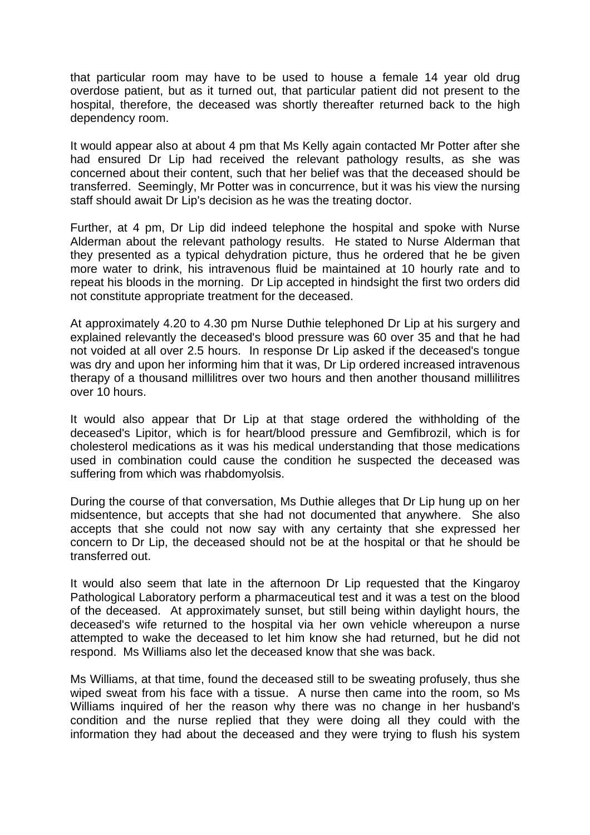that particular room may have to be used to house a female 14 year old drug overdose patient, but as it turned out, that particular patient did not present to the hospital, therefore, the deceased was shortly thereafter returned back to the high dependency room.

It would appear also at about 4 pm that Ms Kelly again contacted Mr Potter after she had ensured Dr Lip had received the relevant pathology results, as she was concerned about their content, such that her belief was that the deceased should be transferred. Seemingly, Mr Potter was in concurrence, but it was his view the nursing staff should await Dr Lip's decision as he was the treating doctor.

Further, at 4 pm, Dr Lip did indeed telephone the hospital and spoke with Nurse Alderman about the relevant pathology results. He stated to Nurse Alderman that they presented as a typical dehydration picture, thus he ordered that he be given more water to drink, his intravenous fluid be maintained at 10 hourly rate and to repeat his bloods in the morning. Dr Lip accepted in hindsight the first two orders did not constitute appropriate treatment for the deceased.

At approximately 4.20 to 4.30 pm Nurse Duthie telephoned Dr Lip at his surgery and explained relevantly the deceased's blood pressure was 60 over 35 and that he had not voided at all over 2.5 hours. In response Dr Lip asked if the deceased's tongue was dry and upon her informing him that it was, Dr Lip ordered increased intravenous therapy of a thousand millilitres over two hours and then another thousand millilitres over 10 hours.

It would also appear that Dr Lip at that stage ordered the withholding of the deceased's Lipitor, which is for heart/blood pressure and Gemfibrozil, which is for cholesterol medications as it was his medical understanding that those medications used in combination could cause the condition he suspected the deceased was suffering from which was rhabdomyolsis.

During the course of that conversation, Ms Duthie alleges that Dr Lip hung up on her midsentence, but accepts that she had not documented that anywhere. She also accepts that she could not now say with any certainty that she expressed her concern to Dr Lip, the deceased should not be at the hospital or that he should be transferred out.

It would also seem that late in the afternoon Dr Lip requested that the Kingaroy Pathological Laboratory perform a pharmaceutical test and it was a test on the blood of the deceased. At approximately sunset, but still being within daylight hours, the deceased's wife returned to the hospital via her own vehicle whereupon a nurse attempted to wake the deceased to let him know she had returned, but he did not respond. Ms Williams also let the deceased know that she was back.

Ms Williams, at that time, found the deceased still to be sweating profusely, thus she wiped sweat from his face with a tissue. A nurse then came into the room, so Ms Williams inquired of her the reason why there was no change in her husband's condition and the nurse replied that they were doing all they could with the information they had about the deceased and they were trying to flush his system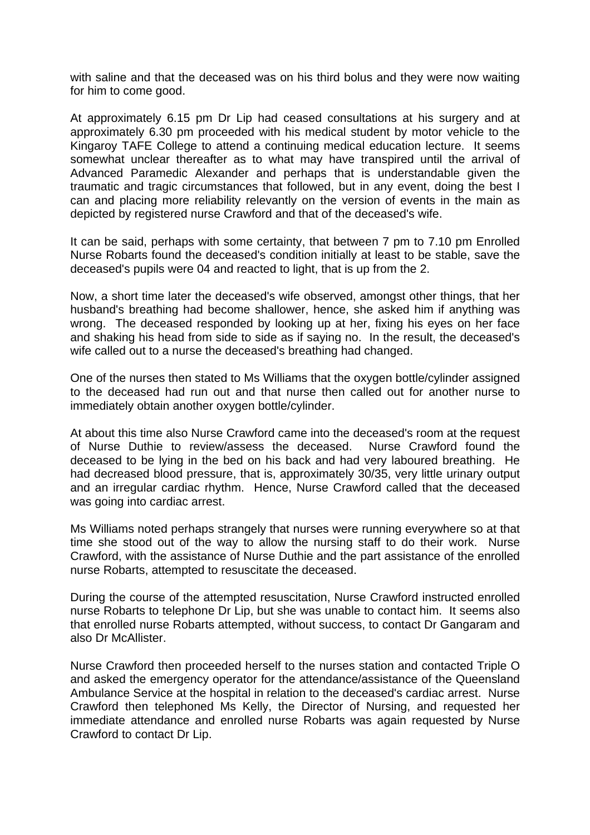with saline and that the deceased was on his third bolus and they were now waiting for him to come good.

At approximately 6.15 pm Dr Lip had ceased consultations at his surgery and at approximately 6.30 pm proceeded with his medical student by motor vehicle to the Kingaroy TAFE College to attend a continuing medical education lecture. It seems somewhat unclear thereafter as to what may have transpired until the arrival of Advanced Paramedic Alexander and perhaps that is understandable given the traumatic and tragic circumstances that followed, but in any event, doing the best I can and placing more reliability relevantly on the version of events in the main as depicted by registered nurse Crawford and that of the deceased's wife.

It can be said, perhaps with some certainty, that between 7 pm to 7.10 pm Enrolled Nurse Robarts found the deceased's condition initially at least to be stable, save the deceased's pupils were 04 and reacted to light, that is up from the 2.

Now, a short time later the deceased's wife observed, amongst other things, that her husband's breathing had become shallower, hence, she asked him if anything was wrong. The deceased responded by looking up at her, fixing his eyes on her face and shaking his head from side to side as if saying no. In the result, the deceased's wife called out to a nurse the deceased's breathing had changed.

One of the nurses then stated to Ms Williams that the oxygen bottle/cylinder assigned to the deceased had run out and that nurse then called out for another nurse to immediately obtain another oxygen bottle/cylinder.

At about this time also Nurse Crawford came into the deceased's room at the request of Nurse Duthie to review/assess the deceased. Nurse Crawford found the deceased to be lying in the bed on his back and had very laboured breathing. He had decreased blood pressure, that is, approximately 30/35, very little urinary output and an irregular cardiac rhythm. Hence, Nurse Crawford called that the deceased was going into cardiac arrest.

Ms Williams noted perhaps strangely that nurses were running everywhere so at that time she stood out of the way to allow the nursing staff to do their work. Nurse Crawford, with the assistance of Nurse Duthie and the part assistance of the enrolled nurse Robarts, attempted to resuscitate the deceased.

During the course of the attempted resuscitation, Nurse Crawford instructed enrolled nurse Robarts to telephone Dr Lip, but she was unable to contact him. It seems also that enrolled nurse Robarts attempted, without success, to contact Dr Gangaram and also Dr McAllister.

Nurse Crawford then proceeded herself to the nurses station and contacted Triple O and asked the emergency operator for the attendance/assistance of the Queensland Ambulance Service at the hospital in relation to the deceased's cardiac arrest. Nurse Crawford then telephoned Ms Kelly, the Director of Nursing, and requested her immediate attendance and enrolled nurse Robarts was again requested by Nurse Crawford to contact Dr Lip.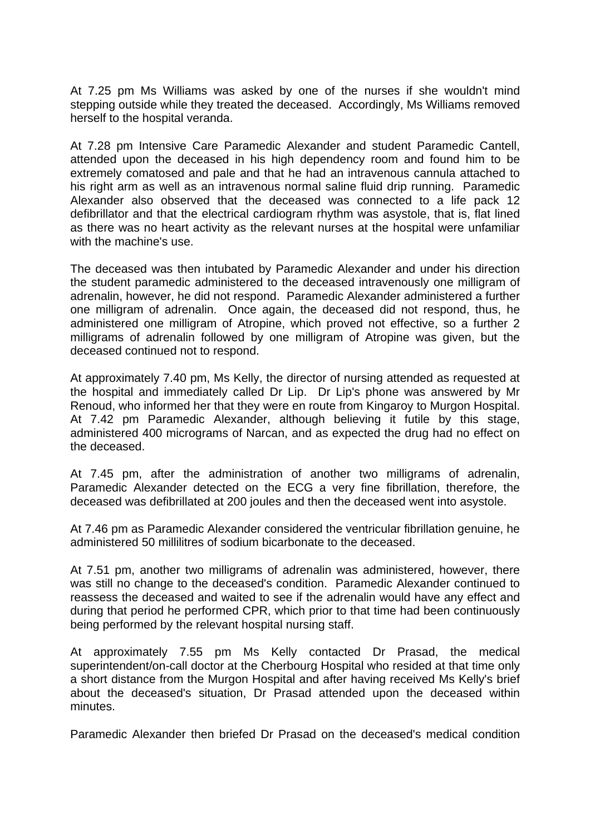At 7.25 pm Ms Williams was asked by one of the nurses if she wouldn't mind stepping outside while they treated the deceased. Accordingly, Ms Williams removed herself to the hospital veranda.

At 7.28 pm Intensive Care Paramedic Alexander and student Paramedic Cantell, attended upon the deceased in his high dependency room and found him to be extremely comatosed and pale and that he had an intravenous cannula attached to his right arm as well as an intravenous normal saline fluid drip running. Paramedic Alexander also observed that the deceased was connected to a life pack 12 defibrillator and that the electrical cardiogram rhythm was asystole, that is, flat lined as there was no heart activity as the relevant nurses at the hospital were unfamiliar with the machine's use.

The deceased was then intubated by Paramedic Alexander and under his direction the student paramedic administered to the deceased intravenously one milligram of adrenalin, however, he did not respond. Paramedic Alexander administered a further one milligram of adrenalin. Once again, the deceased did not respond, thus, he administered one milligram of Atropine, which proved not effective, so a further 2 milligrams of adrenalin followed by one milligram of Atropine was given, but the deceased continued not to respond.

At approximately 7.40 pm, Ms Kelly, the director of nursing attended as requested at the hospital and immediately called Dr Lip. Dr Lip's phone was answered by Mr Renoud, who informed her that they were en route from Kingaroy to Murgon Hospital. At 7.42 pm Paramedic Alexander, although believing it futile by this stage, administered 400 micrograms of Narcan, and as expected the drug had no effect on the deceased.

At 7.45 pm, after the administration of another two milligrams of adrenalin, Paramedic Alexander detected on the ECG a very fine fibrillation, therefore, the deceased was defibrillated at 200 joules and then the deceased went into asystole.

At 7.46 pm as Paramedic Alexander considered the ventricular fibrillation genuine, he administered 50 millilitres of sodium bicarbonate to the deceased.

At 7.51 pm, another two milligrams of adrenalin was administered, however, there was still no change to the deceased's condition. Paramedic Alexander continued to reassess the deceased and waited to see if the adrenalin would have any effect and during that period he performed CPR, which prior to that time had been continuously being performed by the relevant hospital nursing staff.

At approximately 7.55 pm Ms Kelly contacted Dr Prasad, the medical superintendent/on-call doctor at the Cherbourg Hospital who resided at that time only a short distance from the Murgon Hospital and after having received Ms Kelly's brief about the deceased's situation, Dr Prasad attended upon the deceased within minutes.

Paramedic Alexander then briefed Dr Prasad on the deceased's medical condition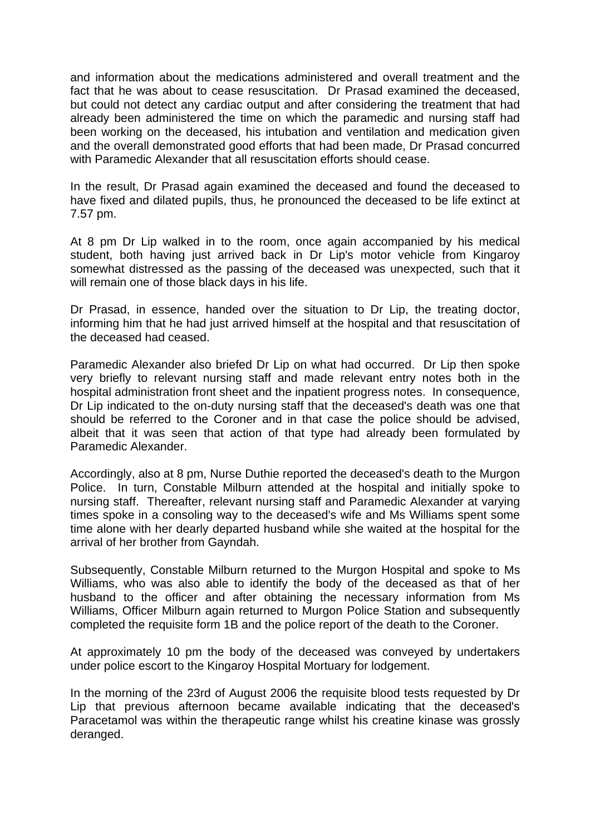and information about the medications administered and overall treatment and the fact that he was about to cease resuscitation. Dr Prasad examined the deceased, but could not detect any cardiac output and after considering the treatment that had already been administered the time on which the paramedic and nursing staff had been working on the deceased, his intubation and ventilation and medication given and the overall demonstrated good efforts that had been made, Dr Prasad concurred with Paramedic Alexander that all resuscitation efforts should cease.

In the result, Dr Prasad again examined the deceased and found the deceased to have fixed and dilated pupils, thus, he pronounced the deceased to be life extinct at 7.57 pm.

At 8 pm Dr Lip walked in to the room, once again accompanied by his medical student, both having just arrived back in Dr Lip's motor vehicle from Kingaroy somewhat distressed as the passing of the deceased was unexpected, such that it will remain one of those black days in his life.

Dr Prasad, in essence, handed over the situation to Dr Lip, the treating doctor, informing him that he had just arrived himself at the hospital and that resuscitation of the deceased had ceased.

Paramedic Alexander also briefed Dr Lip on what had occurred. Dr Lip then spoke very briefly to relevant nursing staff and made relevant entry notes both in the hospital administration front sheet and the inpatient progress notes. In consequence, Dr Lip indicated to the on-duty nursing staff that the deceased's death was one that should be referred to the Coroner and in that case the police should be advised, albeit that it was seen that action of that type had already been formulated by Paramedic Alexander.

Accordingly, also at 8 pm, Nurse Duthie reported the deceased's death to the Murgon Police. In turn, Constable Milburn attended at the hospital and initially spoke to nursing staff. Thereafter, relevant nursing staff and Paramedic Alexander at varying times spoke in a consoling way to the deceased's wife and Ms Williams spent some time alone with her dearly departed husband while she waited at the hospital for the arrival of her brother from Gayndah.

Subsequently, Constable Milburn returned to the Murgon Hospital and spoke to Ms Williams, who was also able to identify the body of the deceased as that of her husband to the officer and after obtaining the necessary information from Ms Williams, Officer Milburn again returned to Murgon Police Station and subsequently completed the requisite form 1B and the police report of the death to the Coroner.

At approximately 10 pm the body of the deceased was conveyed by undertakers under police escort to the Kingaroy Hospital Mortuary for lodgement.

In the morning of the 23rd of August 2006 the requisite blood tests requested by Dr Lip that previous afternoon became available indicating that the deceased's Paracetamol was within the therapeutic range whilst his creatine kinase was grossly deranged.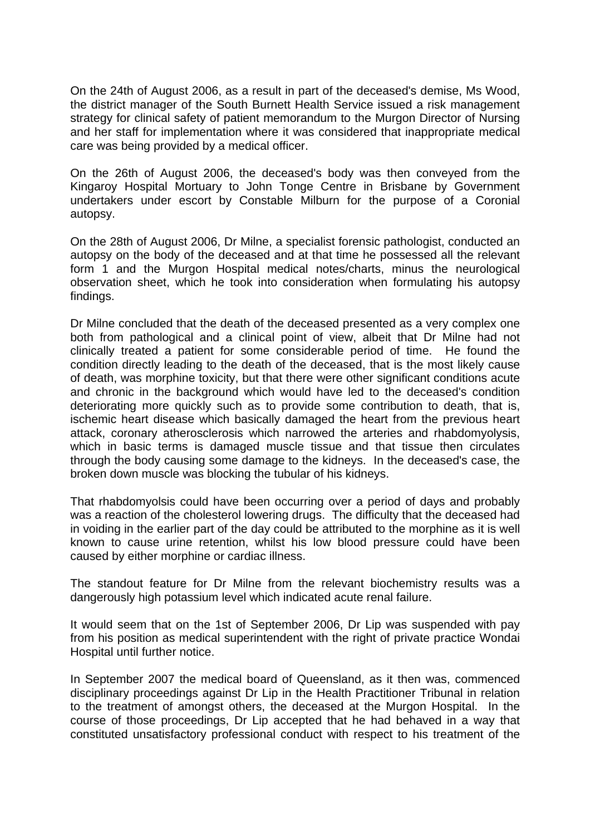On the 24th of August 2006, as a result in part of the deceased's demise, Ms Wood, the district manager of the South Burnett Health Service issued a risk management strategy for clinical safety of patient memorandum to the Murgon Director of Nursing and her staff for implementation where it was considered that inappropriate medical care was being provided by a medical officer.

On the 26th of August 2006, the deceased's body was then conveyed from the Kingaroy Hospital Mortuary to John Tonge Centre in Brisbane by Government undertakers under escort by Constable Milburn for the purpose of a Coronial autopsy.

On the 28th of August 2006, Dr Milne, a specialist forensic pathologist, conducted an autopsy on the body of the deceased and at that time he possessed all the relevant form 1 and the Murgon Hospital medical notes/charts, minus the neurological observation sheet, which he took into consideration when formulating his autopsy findings.

Dr Milne concluded that the death of the deceased presented as a very complex one both from pathological and a clinical point of view, albeit that Dr Milne had not clinically treated a patient for some considerable period of time. He found the condition directly leading to the death of the deceased, that is the most likely cause of death, was morphine toxicity, but that there were other significant conditions acute and chronic in the background which would have led to the deceased's condition deteriorating more quickly such as to provide some contribution to death, that is, ischemic heart disease which basically damaged the heart from the previous heart attack, coronary atherosclerosis which narrowed the arteries and rhabdomyolysis, which in basic terms is damaged muscle tissue and that tissue then circulates through the body causing some damage to the kidneys. In the deceased's case, the broken down muscle was blocking the tubular of his kidneys.

That rhabdomyolsis could have been occurring over a period of days and probably was a reaction of the cholesterol lowering drugs. The difficulty that the deceased had in voiding in the earlier part of the day could be attributed to the morphine as it is well known to cause urine retention, whilst his low blood pressure could have been caused by either morphine or cardiac illness.

The standout feature for Dr Milne from the relevant biochemistry results was a dangerously high potassium level which indicated acute renal failure.

It would seem that on the 1st of September 2006, Dr Lip was suspended with pay from his position as medical superintendent with the right of private practice Wondai Hospital until further notice.

In September 2007 the medical board of Queensland, as it then was, commenced disciplinary proceedings against Dr Lip in the Health Practitioner Tribunal in relation to the treatment of amongst others, the deceased at the Murgon Hospital. In the course of those proceedings, Dr Lip accepted that he had behaved in a way that constituted unsatisfactory professional conduct with respect to his treatment of the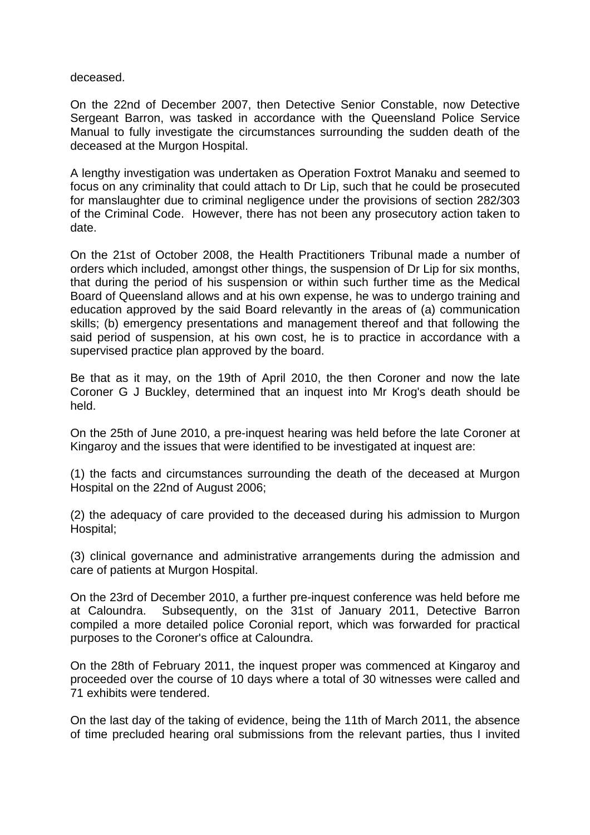deceased.

On the 22nd of December 2007, then Detective Senior Constable, now Detective Sergeant Barron, was tasked in accordance with the Queensland Police Service Manual to fully investigate the circumstances surrounding the sudden death of the deceased at the Murgon Hospital.

A lengthy investigation was undertaken as Operation Foxtrot Manaku and seemed to focus on any criminality that could attach to Dr Lip, such that he could be prosecuted for manslaughter due to criminal negligence under the provisions of section 282/303 of the Criminal Code. However, there has not been any prosecutory action taken to date.

On the 21st of October 2008, the Health Practitioners Tribunal made a number of orders which included, amongst other things, the suspension of Dr Lip for six months, that during the period of his suspension or within such further time as the Medical Board of Queensland allows and at his own expense, he was to undergo training and education approved by the said Board relevantly in the areas of (a) communication skills; (b) emergency presentations and management thereof and that following the said period of suspension, at his own cost, he is to practice in accordance with a supervised practice plan approved by the board.

Be that as it may, on the 19th of April 2010, the then Coroner and now the late Coroner G J Buckley, determined that an inquest into Mr Krog's death should be held.

On the 25th of June 2010, a pre-inquest hearing was held before the late Coroner at Kingaroy and the issues that were identified to be investigated at inquest are:

(1) the facts and circumstances surrounding the death of the deceased at Murgon Hospital on the 22nd of August 2006;

(2) the adequacy of care provided to the deceased during his admission to Murgon Hospital;

(3) clinical governance and administrative arrangements during the admission and care of patients at Murgon Hospital.

On the 23rd of December 2010, a further pre-inquest conference was held before me at Caloundra. Subsequently, on the 31st of January 2011, Detective Barron compiled a more detailed police Coronial report, which was forwarded for practical purposes to the Coroner's office at Caloundra.

On the 28th of February 2011, the inquest proper was commenced at Kingaroy and proceeded over the course of 10 days where a total of 30 witnesses were called and 71 exhibits were tendered.

On the last day of the taking of evidence, being the 11th of March 2011, the absence of time precluded hearing oral submissions from the relevant parties, thus I invited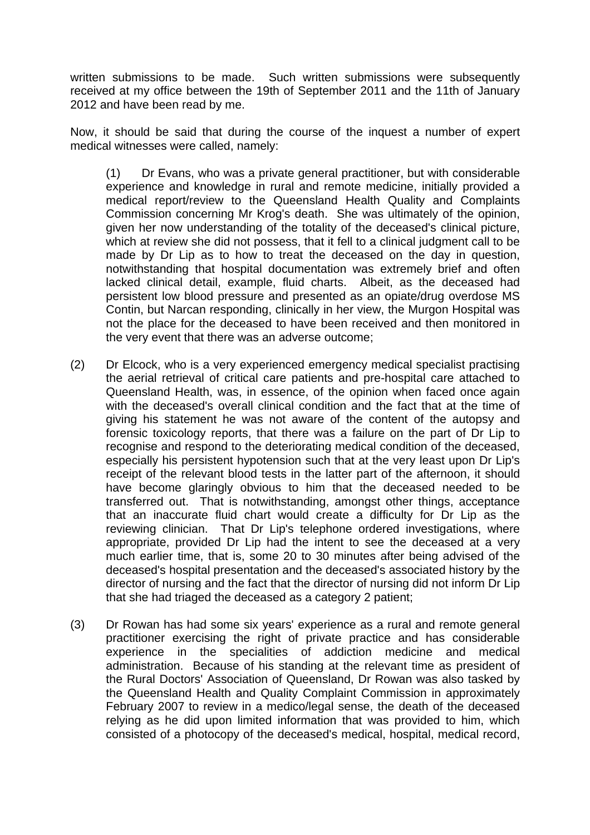written submissions to be made. Such written submissions were subsequently received at my office between the 19th of September 2011 and the 11th of January 2012 and have been read by me.

Now, it should be said that during the course of the inquest a number of expert medical witnesses were called, namely:

(1) Dr Evans, who was a private general practitioner, but with considerable experience and knowledge in rural and remote medicine, initially provided a medical report/review to the Queensland Health Quality and Complaints Commission concerning Mr Krog's death. She was ultimately of the opinion, given her now understanding of the totality of the deceased's clinical picture, which at review she did not possess, that it fell to a clinical judgment call to be made by Dr Lip as to how to treat the deceased on the day in question, notwithstanding that hospital documentation was extremely brief and often lacked clinical detail, example, fluid charts. Albeit, as the deceased had persistent low blood pressure and presented as an opiate/drug overdose MS Contin, but Narcan responding, clinically in her view, the Murgon Hospital was not the place for the deceased to have been received and then monitored in the very event that there was an adverse outcome;

- (2) Dr Elcock, who is a very experienced emergency medical specialist practising the aerial retrieval of critical care patients and pre-hospital care attached to Queensland Health, was, in essence, of the opinion when faced once again with the deceased's overall clinical condition and the fact that at the time of giving his statement he was not aware of the content of the autopsy and forensic toxicology reports, that there was a failure on the part of Dr Lip to recognise and respond to the deteriorating medical condition of the deceased, especially his persistent hypotension such that at the very least upon Dr Lip's receipt of the relevant blood tests in the latter part of the afternoon, it should have become glaringly obvious to him that the deceased needed to be transferred out. That is notwithstanding, amongst other things, acceptance that an inaccurate fluid chart would create a difficulty for Dr Lip as the reviewing clinician. That Dr Lip's telephone ordered investigations, where appropriate, provided Dr Lip had the intent to see the deceased at a very much earlier time, that is, some 20 to 30 minutes after being advised of the deceased's hospital presentation and the deceased's associated history by the director of nursing and the fact that the director of nursing did not inform Dr Lip that she had triaged the deceased as a category 2 patient;
- (3) Dr Rowan has had some six years' experience as a rural and remote general practitioner exercising the right of private practice and has considerable experience in the specialities of addiction medicine and medical administration. Because of his standing at the relevant time as president of the Rural Doctors' Association of Queensland, Dr Rowan was also tasked by the Queensland Health and Quality Complaint Commission in approximately February 2007 to review in a medico/legal sense, the death of the deceased relying as he did upon limited information that was provided to him, which consisted of a photocopy of the deceased's medical, hospital, medical record,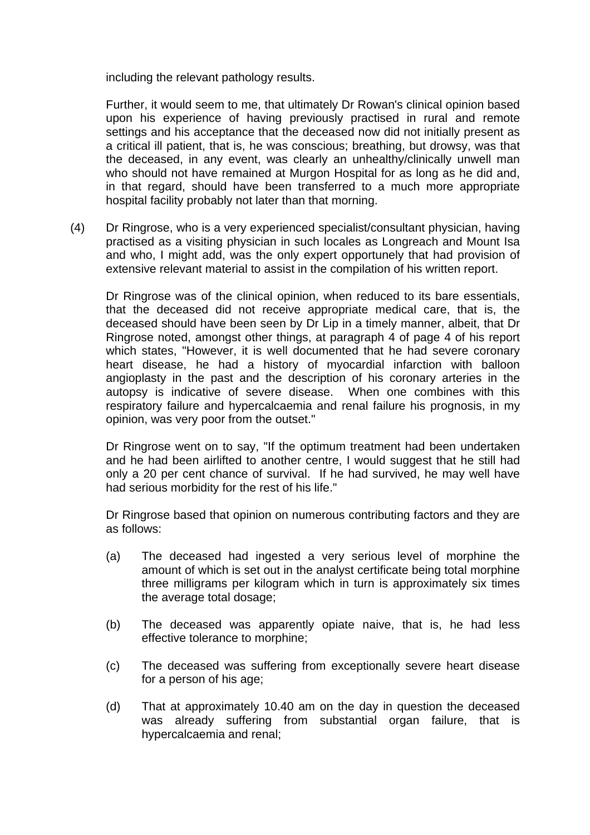including the relevant pathology results.

Further, it would seem to me, that ultimately Dr Rowan's clinical opinion based upon his experience of having previously practised in rural and remote settings and his acceptance that the deceased now did not initially present as a critical ill patient, that is, he was conscious; breathing, but drowsy, was that the deceased, in any event, was clearly an unhealthy/clinically unwell man who should not have remained at Murgon Hospital for as long as he did and, in that regard, should have been transferred to a much more appropriate hospital facility probably not later than that morning.

(4) Dr Ringrose, who is a very experienced specialist/consultant physician, having practised as a visiting physician in such locales as Longreach and Mount Isa and who, I might add, was the only expert opportunely that had provision of extensive relevant material to assist in the compilation of his written report.

Dr Ringrose was of the clinical opinion, when reduced to its bare essentials, that the deceased did not receive appropriate medical care, that is, the deceased should have been seen by Dr Lip in a timely manner, albeit, that Dr Ringrose noted, amongst other things, at paragraph 4 of page 4 of his report which states, "However, it is well documented that he had severe coronary heart disease, he had a history of myocardial infarction with balloon angioplasty in the past and the description of his coronary arteries in the autopsy is indicative of severe disease. When one combines with this respiratory failure and hypercalcaemia and renal failure his prognosis, in my opinion, was very poor from the outset."

Dr Ringrose went on to say, "If the optimum treatment had been undertaken and he had been airlifted to another centre, I would suggest that he still had only a 20 per cent chance of survival. If he had survived, he may well have had serious morbidity for the rest of his life."

Dr Ringrose based that opinion on numerous contributing factors and they are as follows:

- (a) The deceased had ingested a very serious level of morphine the amount of which is set out in the analyst certificate being total morphine three milligrams per kilogram which in turn is approximately six times the average total dosage;
- (b) The deceased was apparently opiate naive, that is, he had less effective tolerance to morphine;
- (c) The deceased was suffering from exceptionally severe heart disease for a person of his age;
- (d) That at approximately 10.40 am on the day in question the deceased was already suffering from substantial organ failure, that is hypercalcaemia and renal;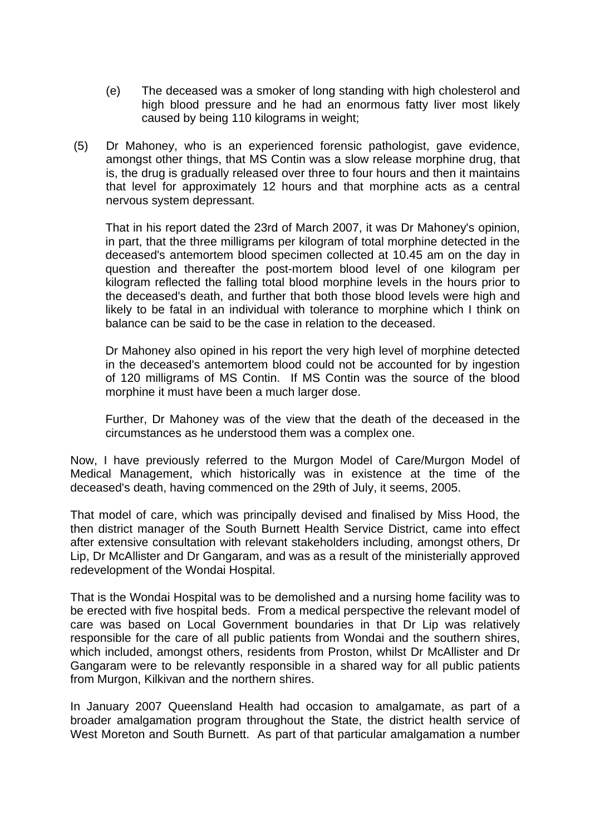- (e) The deceased was a smoker of long standing with high cholesterol and high blood pressure and he had an enormous fatty liver most likely caused by being 110 kilograms in weight;
- (5) Dr Mahoney, who is an experienced forensic pathologist, gave evidence, amongst other things, that MS Contin was a slow release morphine drug, that is, the drug is gradually released over three to four hours and then it maintains that level for approximately 12 hours and that morphine acts as a central nervous system depressant.

That in his report dated the 23rd of March 2007, it was Dr Mahoney's opinion, in part, that the three milligrams per kilogram of total morphine detected in the deceased's antemortem blood specimen collected at 10.45 am on the day in question and thereafter the post-mortem blood level of one kilogram per kilogram reflected the falling total blood morphine levels in the hours prior to the deceased's death, and further that both those blood levels were high and likely to be fatal in an individual with tolerance to morphine which I think on balance can be said to be the case in relation to the deceased.

Dr Mahoney also opined in his report the very high level of morphine detected in the deceased's antemortem blood could not be accounted for by ingestion of 120 milligrams of MS Contin. If MS Contin was the source of the blood morphine it must have been a much larger dose.

Further, Dr Mahoney was of the view that the death of the deceased in the circumstances as he understood them was a complex one.

Now, I have previously referred to the Murgon Model of Care/Murgon Model of Medical Management, which historically was in existence at the time of the deceased's death, having commenced on the 29th of July, it seems, 2005.

That model of care, which was principally devised and finalised by Miss Hood, the then district manager of the South Burnett Health Service District, came into effect after extensive consultation with relevant stakeholders including, amongst others, Dr Lip, Dr McAllister and Dr Gangaram, and was as a result of the ministerially approved redevelopment of the Wondai Hospital.

That is the Wondai Hospital was to be demolished and a nursing home facility was to be erected with five hospital beds. From a medical perspective the relevant model of care was based on Local Government boundaries in that Dr Lip was relatively responsible for the care of all public patients from Wondai and the southern shires, which included, amongst others, residents from Proston, whilst Dr McAllister and Dr Gangaram were to be relevantly responsible in a shared way for all public patients from Murgon, Kilkivan and the northern shires.

In January 2007 Queensland Health had occasion to amalgamate, as part of a broader amalgamation program throughout the State, the district health service of West Moreton and South Burnett. As part of that particular amalgamation a number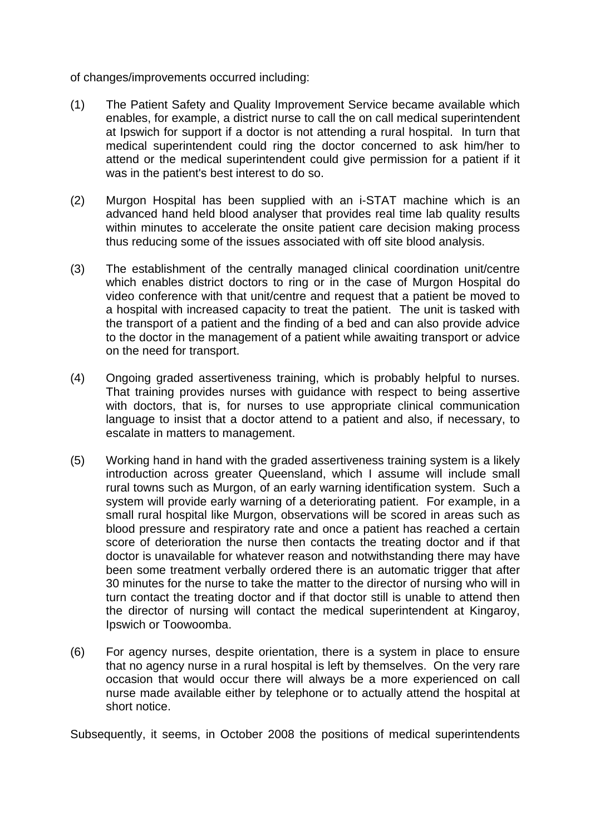of changes/improvements occurred including:

- (1) The Patient Safety and Quality Improvement Service became available which enables, for example, a district nurse to call the on call medical superintendent at Ipswich for support if a doctor is not attending a rural hospital. In turn that medical superintendent could ring the doctor concerned to ask him/her to attend or the medical superintendent could give permission for a patient if it was in the patient's best interest to do so.
- (2) Murgon Hospital has been supplied with an i-STAT machine which is an advanced hand held blood analyser that provides real time lab quality results within minutes to accelerate the onsite patient care decision making process thus reducing some of the issues associated with off site blood analysis.
- (3) The establishment of the centrally managed clinical coordination unit/centre which enables district doctors to ring or in the case of Murgon Hospital do video conference with that unit/centre and request that a patient be moved to a hospital with increased capacity to treat the patient. The unit is tasked with the transport of a patient and the finding of a bed and can also provide advice to the doctor in the management of a patient while awaiting transport or advice on the need for transport.
- (4) Ongoing graded assertiveness training, which is probably helpful to nurses. That training provides nurses with guidance with respect to being assertive with doctors, that is, for nurses to use appropriate clinical communication language to insist that a doctor attend to a patient and also, if necessary, to escalate in matters to management.
- (5) Working hand in hand with the graded assertiveness training system is a likely introduction across greater Queensland, which I assume will include small rural towns such as Murgon, of an early warning identification system. Such a system will provide early warning of a deteriorating patient. For example, in a small rural hospital like Murgon, observations will be scored in areas such as blood pressure and respiratory rate and once a patient has reached a certain score of deterioration the nurse then contacts the treating doctor and if that doctor is unavailable for whatever reason and notwithstanding there may have been some treatment verbally ordered there is an automatic trigger that after 30 minutes for the nurse to take the matter to the director of nursing who will in turn contact the treating doctor and if that doctor still is unable to attend then the director of nursing will contact the medical superintendent at Kingaroy, Ipswich or Toowoomba.
- (6) For agency nurses, despite orientation, there is a system in place to ensure that no agency nurse in a rural hospital is left by themselves. On the very rare occasion that would occur there will always be a more experienced on call nurse made available either by telephone or to actually attend the hospital at short notice.

Subsequently, it seems, in October 2008 the positions of medical superintendents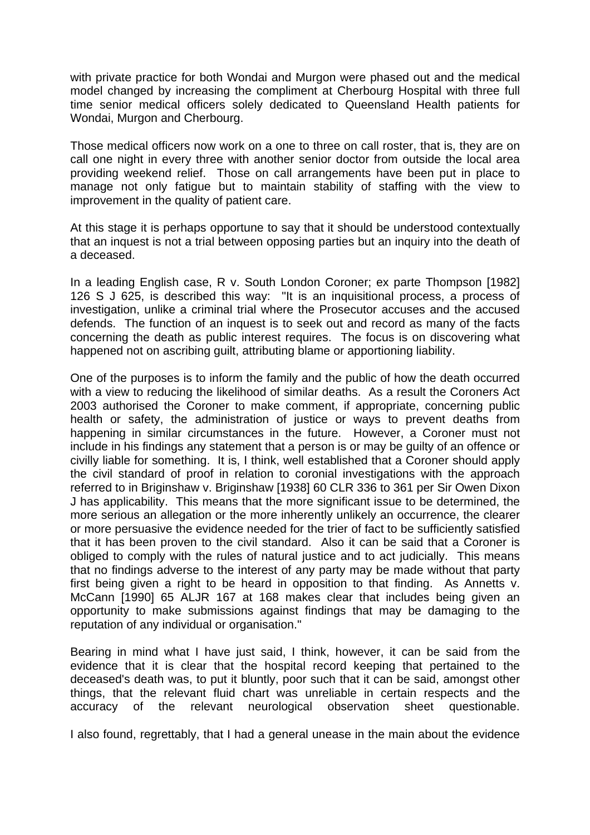with private practice for both Wondai and Murgon were phased out and the medical model changed by increasing the compliment at Cherbourg Hospital with three full time senior medical officers solely dedicated to Queensland Health patients for Wondai, Murgon and Cherbourg.

Those medical officers now work on a one to three on call roster, that is, they are on call one night in every three with another senior doctor from outside the local area providing weekend relief. Those on call arrangements have been put in place to manage not only fatigue but to maintain stability of staffing with the view to improvement in the quality of patient care.

At this stage it is perhaps opportune to say that it should be understood contextually that an inquest is not a trial between opposing parties but an inquiry into the death of a deceased.

In a leading English case, R v. South London Coroner; ex parte Thompson [1982] 126 S J 625, is described this way: "It is an inquisitional process, a process of investigation, unlike a criminal trial where the Prosecutor accuses and the accused defends. The function of an inquest is to seek out and record as many of the facts concerning the death as public interest requires. The focus is on discovering what happened not on ascribing guilt, attributing blame or apportioning liability.

One of the purposes is to inform the family and the public of how the death occurred with a view to reducing the likelihood of similar deaths. As a result the Coroners Act 2003 authorised the Coroner to make comment, if appropriate, concerning public health or safety, the administration of justice or ways to prevent deaths from happening in similar circumstances in the future. However, a Coroner must not include in his findings any statement that a person is or may be guilty of an offence or civilly liable for something. It is, I think, well established that a Coroner should apply the civil standard of proof in relation to coronial investigations with the approach referred to in Briginshaw v. Briginshaw [1938] 60 CLR 336 to 361 per Sir Owen Dixon J has applicability. This means that the more significant issue to be determined, the more serious an allegation or the more inherently unlikely an occurrence, the clearer or more persuasive the evidence needed for the trier of fact to be sufficiently satisfied that it has been proven to the civil standard. Also it can be said that a Coroner is obliged to comply with the rules of natural justice and to act judicially. This means that no findings adverse to the interest of any party may be made without that party first being given a right to be heard in opposition to that finding. As Annetts v. McCann [1990] 65 ALJR 167 at 168 makes clear that includes being given an opportunity to make submissions against findings that may be damaging to the reputation of any individual or organisation."

Bearing in mind what I have just said, I think, however, it can be said from the evidence that it is clear that the hospital record keeping that pertained to the deceased's death was, to put it bluntly, poor such that it can be said, amongst other things, that the relevant fluid chart was unreliable in certain respects and the accuracy of the relevant neurological observation sheet questionable.

I also found, regrettably, that I had a general unease in the main about the evidence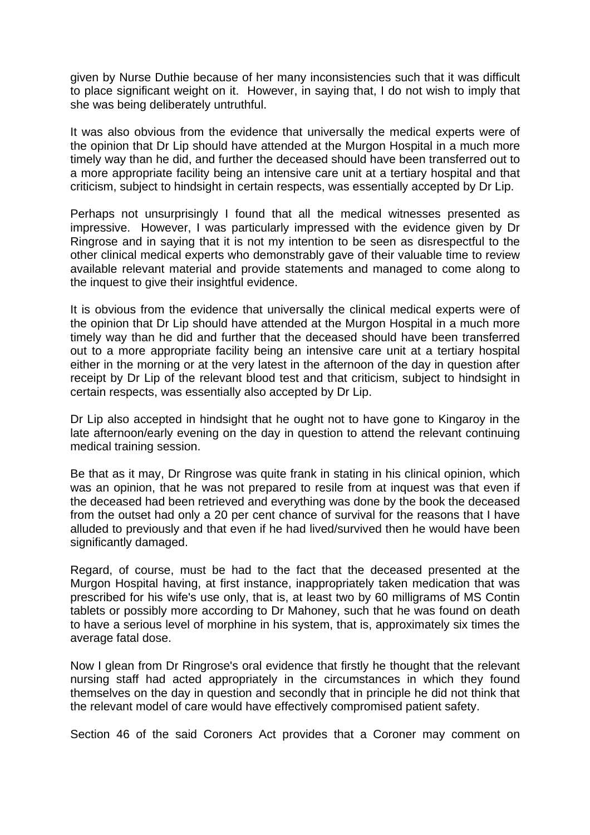given by Nurse Duthie because of her many inconsistencies such that it was difficult to place significant weight on it. However, in saying that, I do not wish to imply that she was being deliberately untruthful.

It was also obvious from the evidence that universally the medical experts were of the opinion that Dr Lip should have attended at the Murgon Hospital in a much more timely way than he did, and further the deceased should have been transferred out to a more appropriate facility being an intensive care unit at a tertiary hospital and that criticism, subject to hindsight in certain respects, was essentially accepted by Dr Lip.

Perhaps not unsurprisingly I found that all the medical witnesses presented as impressive. However, I was particularly impressed with the evidence given by Dr Ringrose and in saying that it is not my intention to be seen as disrespectful to the other clinical medical experts who demonstrably gave of their valuable time to review available relevant material and provide statements and managed to come along to the inquest to give their insightful evidence.

It is obvious from the evidence that universally the clinical medical experts were of the opinion that Dr Lip should have attended at the Murgon Hospital in a much more timely way than he did and further that the deceased should have been transferred out to a more appropriate facility being an intensive care unit at a tertiary hospital either in the morning or at the very latest in the afternoon of the day in question after receipt by Dr Lip of the relevant blood test and that criticism, subject to hindsight in certain respects, was essentially also accepted by Dr Lip.

Dr Lip also accepted in hindsight that he ought not to have gone to Kingaroy in the late afternoon/early evening on the day in question to attend the relevant continuing medical training session.

Be that as it may, Dr Ringrose was quite frank in stating in his clinical opinion, which was an opinion, that he was not prepared to resile from at inquest was that even if the deceased had been retrieved and everything was done by the book the deceased from the outset had only a 20 per cent chance of survival for the reasons that I have alluded to previously and that even if he had lived/survived then he would have been significantly damaged.

Regard, of course, must be had to the fact that the deceased presented at the Murgon Hospital having, at first instance, inappropriately taken medication that was prescribed for his wife's use only, that is, at least two by 60 milligrams of MS Contin tablets or possibly more according to Dr Mahoney, such that he was found on death to have a serious level of morphine in his system, that is, approximately six times the average fatal dose.

Now I glean from Dr Ringrose's oral evidence that firstly he thought that the relevant nursing staff had acted appropriately in the circumstances in which they found themselves on the day in question and secondly that in principle he did not think that the relevant model of care would have effectively compromised patient safety.

Section 46 of the said Coroners Act provides that a Coroner may comment on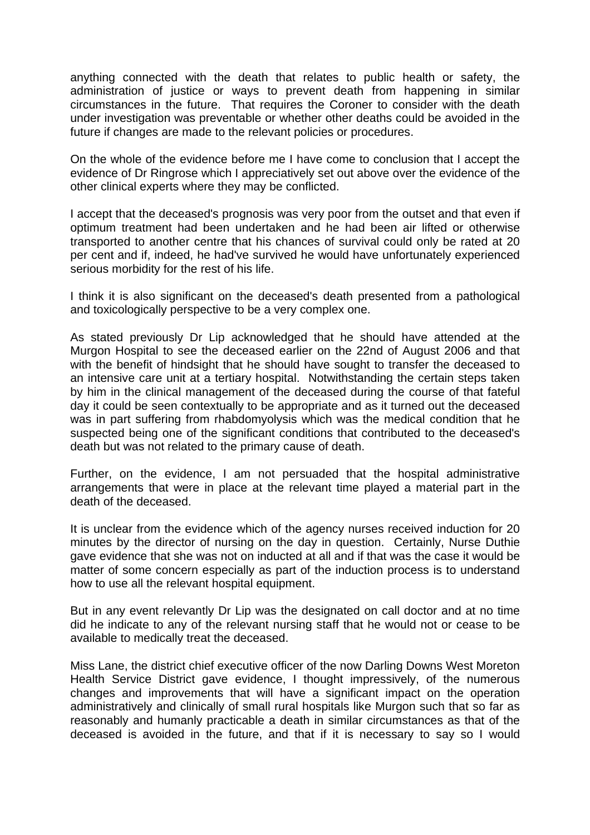anything connected with the death that relates to public health or safety, the administration of justice or ways to prevent death from happening in similar circumstances in the future. That requires the Coroner to consider with the death under investigation was preventable or whether other deaths could be avoided in the future if changes are made to the relevant policies or procedures.

On the whole of the evidence before me I have come to conclusion that I accept the evidence of Dr Ringrose which I appreciatively set out above over the evidence of the other clinical experts where they may be conflicted.

I accept that the deceased's prognosis was very poor from the outset and that even if optimum treatment had been undertaken and he had been air lifted or otherwise transported to another centre that his chances of survival could only be rated at 20 per cent and if, indeed, he had've survived he would have unfortunately experienced serious morbidity for the rest of his life.

I think it is also significant on the deceased's death presented from a pathological and toxicologically perspective to be a very complex one.

As stated previously Dr Lip acknowledged that he should have attended at the Murgon Hospital to see the deceased earlier on the 22nd of August 2006 and that with the benefit of hindsight that he should have sought to transfer the deceased to an intensive care unit at a tertiary hospital. Notwithstanding the certain steps taken by him in the clinical management of the deceased during the course of that fateful day it could be seen contextually to be appropriate and as it turned out the deceased was in part suffering from rhabdomyolysis which was the medical condition that he suspected being one of the significant conditions that contributed to the deceased's death but was not related to the primary cause of death.

Further, on the evidence, I am not persuaded that the hospital administrative arrangements that were in place at the relevant time played a material part in the death of the deceased.

It is unclear from the evidence which of the agency nurses received induction for 20 minutes by the director of nursing on the day in question. Certainly, Nurse Duthie gave evidence that she was not on inducted at all and if that was the case it would be matter of some concern especially as part of the induction process is to understand how to use all the relevant hospital equipment.

But in any event relevantly Dr Lip was the designated on call doctor and at no time did he indicate to any of the relevant nursing staff that he would not or cease to be available to medically treat the deceased.

Miss Lane, the district chief executive officer of the now Darling Downs West Moreton Health Service District gave evidence, I thought impressively, of the numerous changes and improvements that will have a significant impact on the operation administratively and clinically of small rural hospitals like Murgon such that so far as reasonably and humanly practicable a death in similar circumstances as that of the deceased is avoided in the future, and that if it is necessary to say so I would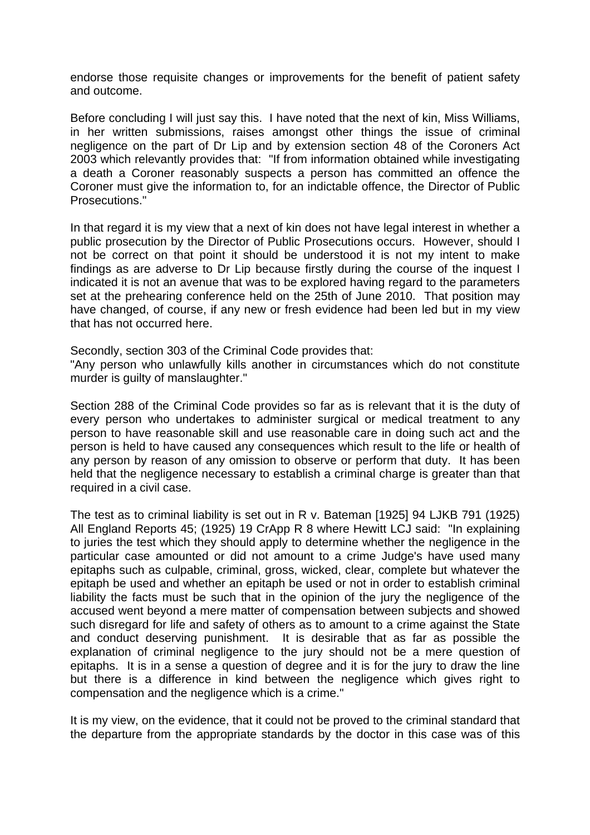endorse those requisite changes or improvements for the benefit of patient safety and outcome.

Before concluding I will just say this. I have noted that the next of kin, Miss Williams, in her written submissions, raises amongst other things the issue of criminal negligence on the part of Dr Lip and by extension section 48 of the Coroners Act 2003 which relevantly provides that: "If from information obtained while investigating a death a Coroner reasonably suspects a person has committed an offence the Coroner must give the information to, for an indictable offence, the Director of Public Prosecutions."

In that regard it is my view that a next of kin does not have legal interest in whether a public prosecution by the Director of Public Prosecutions occurs. However, should I not be correct on that point it should be understood it is not my intent to make findings as are adverse to Dr Lip because firstly during the course of the inquest I indicated it is not an avenue that was to be explored having regard to the parameters set at the prehearing conference held on the 25th of June 2010. That position may have changed, of course, if any new or fresh evidence had been led but in my view that has not occurred here.

Secondly, section 303 of the Criminal Code provides that:

"Any person who unlawfully kills another in circumstances which do not constitute murder is guilty of manslaughter."

Section 288 of the Criminal Code provides so far as is relevant that it is the duty of every person who undertakes to administer surgical or medical treatment to any person to have reasonable skill and use reasonable care in doing such act and the person is held to have caused any consequences which result to the life or health of any person by reason of any omission to observe or perform that duty. It has been held that the negligence necessary to establish a criminal charge is greater than that required in a civil case.

The test as to criminal liability is set out in R v. Bateman [1925] 94 LJKB 791 (1925) All England Reports 45; (1925) 19 CrApp R 8 where Hewitt LCJ said: "In explaining to juries the test which they should apply to determine whether the negligence in the particular case amounted or did not amount to a crime Judge's have used many epitaphs such as culpable, criminal, gross, wicked, clear, complete but whatever the epitaph be used and whether an epitaph be used or not in order to establish criminal liability the facts must be such that in the opinion of the jury the negligence of the accused went beyond a mere matter of compensation between subjects and showed such disregard for life and safety of others as to amount to a crime against the State and conduct deserving punishment. It is desirable that as far as possible the explanation of criminal negligence to the jury should not be a mere question of epitaphs. It is in a sense a question of degree and it is for the jury to draw the line but there is a difference in kind between the negligence which gives right to compensation and the negligence which is a crime."

It is my view, on the evidence, that it could not be proved to the criminal standard that the departure from the appropriate standards by the doctor in this case was of this